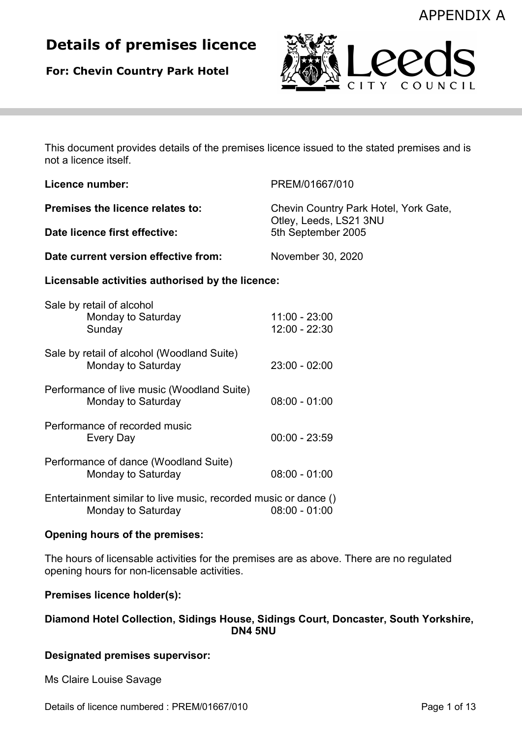# Details of premises licence

For: Chevin Country Park Hotel



This document provides details of the premises licence issued to the stated premises and is not a licence itself.

| Licence number:                                  |                                                                                       | PREM/01667/010                                                                        |  |
|--------------------------------------------------|---------------------------------------------------------------------------------------|---------------------------------------------------------------------------------------|--|
| Premises the licence relates to:                 |                                                                                       | Chevin Country Park Hotel, York Gate,<br>Otley, Leeds, LS21 3NU<br>5th September 2005 |  |
| Date licence first effective:                    |                                                                                       |                                                                                       |  |
| Date current version effective from:             |                                                                                       | November 30, 2020                                                                     |  |
| Licensable activities authorised by the licence: |                                                                                       |                                                                                       |  |
|                                                  | Sale by retail of alcohol<br>Monday to Saturday<br>Sunday                             | $11:00 - 23:00$<br>12:00 - 22:30                                                      |  |
|                                                  | Sale by retail of alcohol (Woodland Suite)<br>Monday to Saturday                      | $23:00 - 02:00$                                                                       |  |
|                                                  | Performance of live music (Woodland Suite)<br>Monday to Saturday                      | $08:00 - 01:00$                                                                       |  |
|                                                  | Performance of recorded music<br>Every Day                                            | $00:00 - 23:59$                                                                       |  |
|                                                  | Performance of dance (Woodland Suite)<br>Monday to Saturday                           | $08:00 - 01:00$                                                                       |  |
|                                                  | Entertainment similar to live music, recorded music or dance ()<br>Monday to Saturday | $08:00 - 01:00$                                                                       |  |

## Opening hours of the premises:

The hours of licensable activities for the premises are as above. There are no regulated opening hours for non-licensable activities.

## Premises licence holder(s):

## Diamond Hotel Collection, Sidings House, Sidings Court, Doncaster, South Yorkshire, DN4 5NU

## Designated premises supervisor:

Ms Claire Louise Savage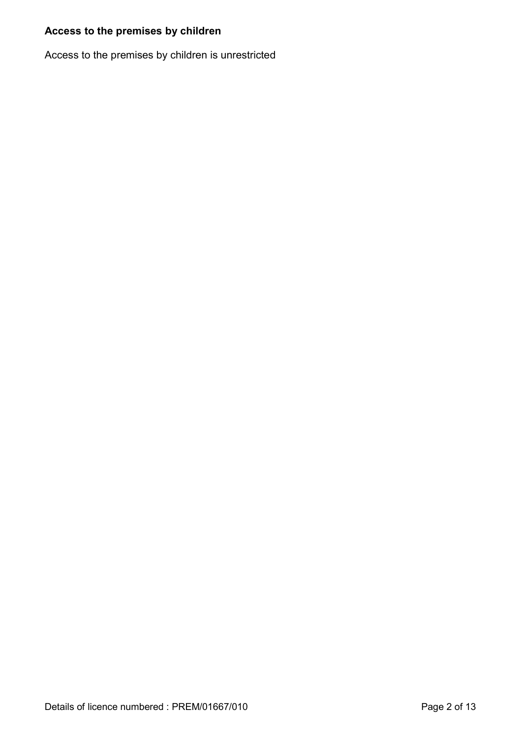## Access to the premises by children

Access to the premises by children is unrestricted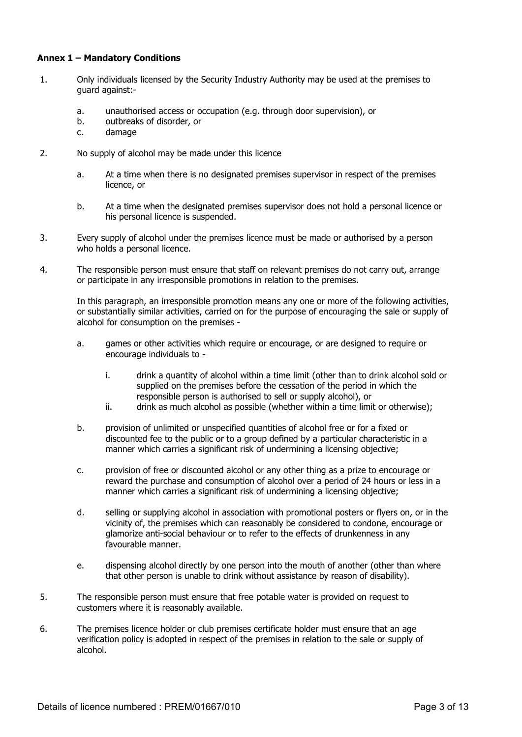#### Annex 1 – Mandatory Conditions

- 1. Only individuals licensed by the Security Industry Authority may be used at the premises to guard against:
	- a. unauthorised access or occupation (e.g. through door supervision), or
	- b. outbreaks of disorder, or
	- c. damage
- 2. No supply of alcohol may be made under this licence
	- a. At a time when there is no designated premises supervisor in respect of the premises licence, or
	- b. At a time when the designated premises supervisor does not hold a personal licence or his personal licence is suspended.
- 3. Every supply of alcohol under the premises licence must be made or authorised by a person who holds a personal licence.
- 4. The responsible person must ensure that staff on relevant premises do not carry out, arrange or participate in any irresponsible promotions in relation to the premises.

 In this paragraph, an irresponsible promotion means any one or more of the following activities, or substantially similar activities, carried on for the purpose of encouraging the sale or supply of alcohol for consumption on the premises -

- a. games or other activities which require or encourage, or are designed to require or encourage individuals to
	- i. drink a quantity of alcohol within a time limit (other than to drink alcohol sold or supplied on the premises before the cessation of the period in which the responsible person is authorised to sell or supply alcohol), or
	- ii. drink as much alcohol as possible (whether within a time limit or otherwise);
- b. provision of unlimited or unspecified quantities of alcohol free or for a fixed or discounted fee to the public or to a group defined by a particular characteristic in a manner which carries a significant risk of undermining a licensing objective;
- c. provision of free or discounted alcohol or any other thing as a prize to encourage or reward the purchase and consumption of alcohol over a period of 24 hours or less in a manner which carries a significant risk of undermining a licensing objective;
- d. selling or supplying alcohol in association with promotional posters or flyers on, or in the vicinity of, the premises which can reasonably be considered to condone, encourage or glamorize anti-social behaviour or to refer to the effects of drunkenness in any favourable manner.
- e. dispensing alcohol directly by one person into the mouth of another (other than where that other person is unable to drink without assistance by reason of disability).
- 5. The responsible person must ensure that free potable water is provided on request to customers where it is reasonably available.
- 6. The premises licence holder or club premises certificate holder must ensure that an age verification policy is adopted in respect of the premises in relation to the sale or supply of alcohol.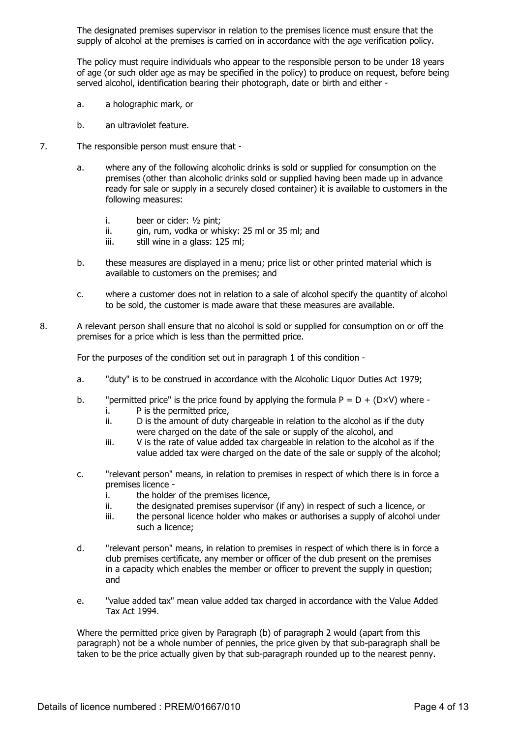The designated premises supervisor in relation to the premises licence must ensure that the supply of alcohol at the premises is carried on in accordance with the age verification policy.

 The policy must require individuals who appear to the responsible person to be under 18 years of age (or such older age as may be specified in the policy) to produce on request, before being served alcohol, identification bearing their photograph, date or birth and either -

- a. a holographic mark, or
- b. an ultraviolet feature.
- 7. The responsible person must ensure that
	- a. where any of the following alcoholic drinks is sold or supplied for consumption on the premises (other than alcoholic drinks sold or supplied having been made up in advance ready for sale or supply in a securely closed container) it is available to customers in the following measures:
		- i. beer or cider: ½ pint;
		- ii. gin, rum, vodka or whisky: 25 ml or 35 ml; and
		- iii. still wine in a glass: 125 ml;
	- b. these measures are displayed in a menu; price list or other printed material which is available to customers on the premises; and
	- c. where a customer does not in relation to a sale of alcohol specify the quantity of alcohol to be sold, the customer is made aware that these measures are available.
- 8. A relevant person shall ensure that no alcohol is sold or supplied for consumption on or off the premises for a price which is less than the permitted price.

For the purposes of the condition set out in paragraph 1 of this condition -

- a. "duty" is to be construed in accordance with the Alcoholic Liquor Duties Act 1979;
- b. "permitted price" is the price found by applying the formula  $P = D + (D \times V)$  where i. P is the permitted price,
	- ii. D is the amount of duty chargeable in relation to the alcohol as if the duty were charged on the date of the sale or supply of the alcohol, and
	- iii. V is the rate of value added tax chargeable in relation to the alcohol as if the value added tax were charged on the date of the sale or supply of the alcohol;
- c. "relevant person" means, in relation to premises in respect of which there is in force a premises licence
	- i. the holder of the premises licence,
	- ii. the designated premises supervisor (if any) in respect of such a licence, or
	- iii. the personal licence holder who makes or authorises a supply of alcohol under such a licence;
- d. "relevant person" means, in relation to premises in respect of which there is in force a club premises certificate, any member or officer of the club present on the premises in a capacity which enables the member or officer to prevent the supply in question; and
- e. "value added tax" mean value added tax charged in accordance with the Value Added Tax Act 1994.

 Where the permitted price given by Paragraph (b) of paragraph 2 would (apart from this paragraph) not be a whole number of pennies, the price given by that sub-paragraph shall be taken to be the price actually given by that sub-paragraph rounded up to the nearest penny.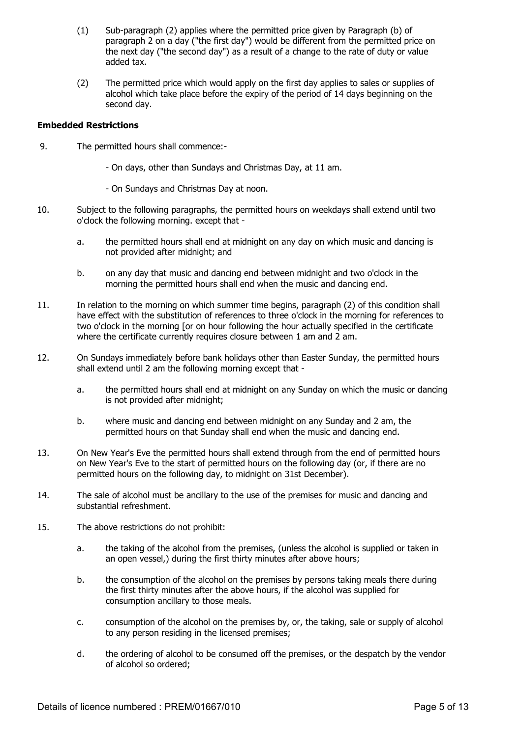- (1) Sub-paragraph (2) applies where the permitted price given by Paragraph (b) of paragraph 2 on a day ("the first day") would be different from the permitted price on the next day ("the second day") as a result of a change to the rate of duty or value added tax.
- (2) The permitted price which would apply on the first day applies to sales or supplies of alcohol which take place before the expiry of the period of 14 days beginning on the second day.

#### Embedded Restrictions

- 9. The permitted hours shall commence:-
	- On days, other than Sundays and Christmas Day, at 11 am.
	- On Sundays and Christmas Day at noon.
- 10. Subject to the following paragraphs, the permitted hours on weekdays shall extend until two o'clock the following morning. except that
	- a. the permitted hours shall end at midnight on any day on which music and dancing is not provided after midnight; and
	- b. on any day that music and dancing end between midnight and two o'clock in the morning the permitted hours shall end when the music and dancing end.
- 11. In relation to the morning on which summer time begins, paragraph (2) of this condition shall have effect with the substitution of references to three o'clock in the morning for references to two o'clock in the morning [or on hour following the hour actually specified in the certificate where the certificate currently requires closure between 1 am and 2 am.
- 12. On Sundays immediately before bank holidays other than Easter Sunday, the permitted hours shall extend until 2 am the following morning except that
	- a. the permitted hours shall end at midnight on any Sunday on which the music or dancing is not provided after midnight;
	- b. where music and dancing end between midnight on any Sunday and 2 am, the permitted hours on that Sunday shall end when the music and dancing end.
- 13. On New Year's Eve the permitted hours shall extend through from the end of permitted hours on New Year's Eve to the start of permitted hours on the following day (or, if there are no permitted hours on the following day, to midnight on 31st December).
- 14. The sale of alcohol must be ancillary to the use of the premises for music and dancing and substantial refreshment.
- 15. The above restrictions do not prohibit:
	- a. the taking of the alcohol from the premises, (unless the alcohol is supplied or taken in an open vessel,) during the first thirty minutes after above hours;
	- b. the consumption of the alcohol on the premises by persons taking meals there during the first thirty minutes after the above hours, if the alcohol was supplied for consumption ancillary to those meals.
	- c. consumption of the alcohol on the premises by, or, the taking, sale or supply of alcohol to any person residing in the licensed premises;
	- d. the ordering of alcohol to be consumed off the premises, or the despatch by the vendor of alcohol so ordered;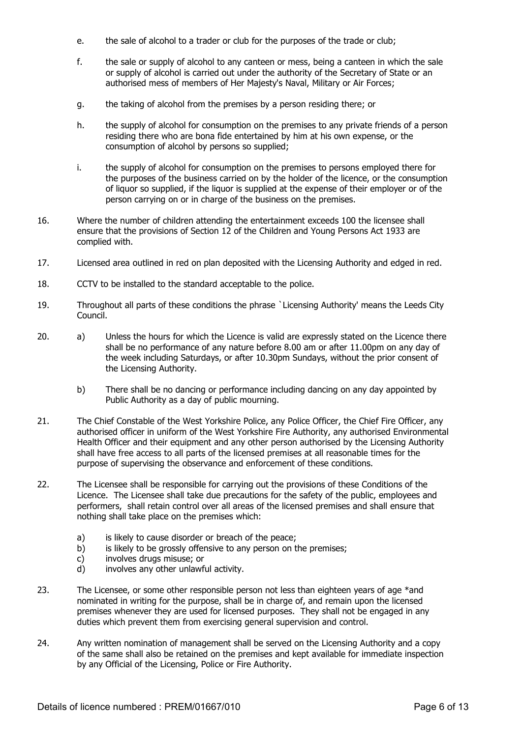- e. the sale of alcohol to a trader or club for the purposes of the trade or club;
- f. the sale or supply of alcohol to any canteen or mess, being a canteen in which the sale or supply of alcohol is carried out under the authority of the Secretary of State or an authorised mess of members of Her Majesty's Naval, Military or Air Forces;
- g. the taking of alcohol from the premises by a person residing there; or
- h. the supply of alcohol for consumption on the premises to any private friends of a person residing there who are bona fide entertained by him at his own expense, or the consumption of alcohol by persons so supplied;
- i. the supply of alcohol for consumption on the premises to persons employed there for the purposes of the business carried on by the holder of the licence, or the consumption of liquor so supplied, if the liquor is supplied at the expense of their employer or of the person carrying on or in charge of the business on the premises.
- 16. Where the number of children attending the entertainment exceeds 100 the licensee shall ensure that the provisions of Section 12 of the Children and Young Persons Act 1933 are complied with.
- 17. Licensed area outlined in red on plan deposited with the Licensing Authority and edged in red.
- 18. CCTV to be installed to the standard acceptable to the police.
- 19. Throughout all parts of these conditions the phrase `Licensing Authority' means the Leeds City Council.
- 20. a) Unless the hours for which the Licence is valid are expressly stated on the Licence there shall be no performance of any nature before 8.00 am or after 11.00pm on any day of the week including Saturdays, or after 10.30pm Sundays, without the prior consent of the Licensing Authority.
	- b) There shall be no dancing or performance including dancing on any day appointed by Public Authority as a day of public mourning.
- 21. The Chief Constable of the West Yorkshire Police, any Police Officer, the Chief Fire Officer, any authorised officer in uniform of the West Yorkshire Fire Authority, any authorised Environmental Health Officer and their equipment and any other person authorised by the Licensing Authority shall have free access to all parts of the licensed premises at all reasonable times for the purpose of supervising the observance and enforcement of these conditions.
- 22. The Licensee shall be responsible for carrying out the provisions of these Conditions of the Licence. The Licensee shall take due precautions for the safety of the public, employees and performers, shall retain control over all areas of the licensed premises and shall ensure that nothing shall take place on the premises which:
	- a) is likely to cause disorder or breach of the peace;
	- b) is likely to be grossly offensive to any person on the premises;
	- c) involves drugs misuse; or
	- d) involves any other unlawful activity.
- 23. The Licensee, or some other responsible person not less than eighteen years of age \*and nominated in writing for the purpose, shall be in charge of, and remain upon the licensed premises whenever they are used for licensed purposes. They shall not be engaged in any duties which prevent them from exercising general supervision and control.
- 24. Any written nomination of management shall be served on the Licensing Authority and a copy of the same shall also be retained on the premises and kept available for immediate inspection by any Official of the Licensing, Police or Fire Authority.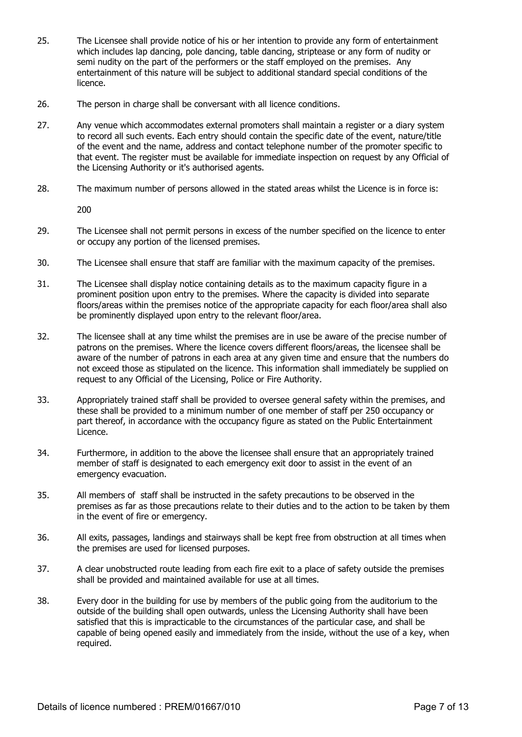- 25. The Licensee shall provide notice of his or her intention to provide any form of entertainment which includes lap dancing, pole dancing, table dancing, striptease or any form of nudity or semi nudity on the part of the performers or the staff employed on the premises. Any entertainment of this nature will be subject to additional standard special conditions of the licence.
- 26. The person in charge shall be conversant with all licence conditions.
- 27. Any venue which accommodates external promoters shall maintain a register or a diary system to record all such events. Each entry should contain the specific date of the event, nature/title of the event and the name, address and contact telephone number of the promoter specific to that event. The register must be available for immediate inspection on request by any Official of the Licensing Authority or it's authorised agents.
- 28. The maximum number of persons allowed in the stated areas whilst the Licence is in force is:

200

- 29. The Licensee shall not permit persons in excess of the number specified on the licence to enter or occupy any portion of the licensed premises.
- 30. The Licensee shall ensure that staff are familiar with the maximum capacity of the premises.
- 31. The Licensee shall display notice containing details as to the maximum capacity figure in a prominent position upon entry to the premises. Where the capacity is divided into separate floors/areas within the premises notice of the appropriate capacity for each floor/area shall also be prominently displayed upon entry to the relevant floor/area.
- 32. The licensee shall at any time whilst the premises are in use be aware of the precise number of patrons on the premises. Where the licence covers different floors/areas, the licensee shall be aware of the number of patrons in each area at any given time and ensure that the numbers do not exceed those as stipulated on the licence. This information shall immediately be supplied on request to any Official of the Licensing, Police or Fire Authority.
- 33. Appropriately trained staff shall be provided to oversee general safety within the premises, and these shall be provided to a minimum number of one member of staff per 250 occupancy or part thereof, in accordance with the occupancy figure as stated on the Public Entertainment Licence.
- 34. Furthermore, in addition to the above the licensee shall ensure that an appropriately trained member of staff is designated to each emergency exit door to assist in the event of an emergency evacuation.
- 35. All members of staff shall be instructed in the safety precautions to be observed in the premises as far as those precautions relate to their duties and to the action to be taken by them in the event of fire or emergency.
- 36. All exits, passages, landings and stairways shall be kept free from obstruction at all times when the premises are used for licensed purposes.
- 37. A clear unobstructed route leading from each fire exit to a place of safety outside the premises shall be provided and maintained available for use at all times.
- 38. Every door in the building for use by members of the public going from the auditorium to the outside of the building shall open outwards, unless the Licensing Authority shall have been satisfied that this is impracticable to the circumstances of the particular case, and shall be capable of being opened easily and immediately from the inside, without the use of a key, when required.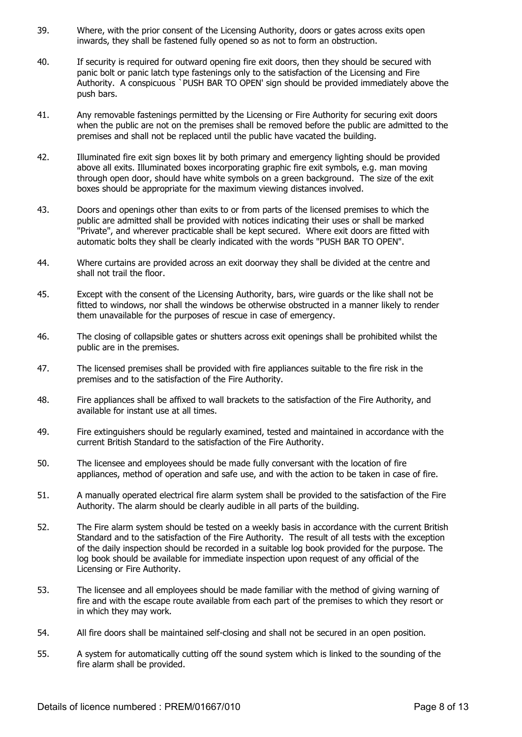- 39. Where, with the prior consent of the Licensing Authority, doors or gates across exits open inwards, they shall be fastened fully opened so as not to form an obstruction.
- 40. If security is required for outward opening fire exit doors, then they should be secured with panic bolt or panic latch type fastenings only to the satisfaction of the Licensing and Fire Authority. A conspicuous `PUSH BAR TO OPEN' sign should be provided immediately above the push bars.
- 41. Any removable fastenings permitted by the Licensing or Fire Authority for securing exit doors when the public are not on the premises shall be removed before the public are admitted to the premises and shall not be replaced until the public have vacated the building.
- 42. Illuminated fire exit sign boxes lit by both primary and emergency lighting should be provided above all exits. Illuminated boxes incorporating graphic fire exit symbols, e.g. man moving through open door, should have white symbols on a green background. The size of the exit boxes should be appropriate for the maximum viewing distances involved.
- 43. Doors and openings other than exits to or from parts of the licensed premises to which the public are admitted shall be provided with notices indicating their uses or shall be marked "Private", and wherever practicable shall be kept secured. Where exit doors are fitted with automatic bolts they shall be clearly indicated with the words "PUSH BAR TO OPEN".
- 44. Where curtains are provided across an exit doorway they shall be divided at the centre and shall not trail the floor.
- 45. Except with the consent of the Licensing Authority, bars, wire guards or the like shall not be fitted to windows, nor shall the windows be otherwise obstructed in a manner likely to render them unavailable for the purposes of rescue in case of emergency.
- 46. The closing of collapsible gates or shutters across exit openings shall be prohibited whilst the public are in the premises.
- 47. The licensed premises shall be provided with fire appliances suitable to the fire risk in the premises and to the satisfaction of the Fire Authority.
- 48. Fire appliances shall be affixed to wall brackets to the satisfaction of the Fire Authority, and available for instant use at all times.
- 49. Fire extinguishers should be regularly examined, tested and maintained in accordance with the current British Standard to the satisfaction of the Fire Authority.
- 50. The licensee and employees should be made fully conversant with the location of fire appliances, method of operation and safe use, and with the action to be taken in case of fire.
- 51. A manually operated electrical fire alarm system shall be provided to the satisfaction of the Fire Authority. The alarm should be clearly audible in all parts of the building.
- 52. The Fire alarm system should be tested on a weekly basis in accordance with the current British Standard and to the satisfaction of the Fire Authority. The result of all tests with the exception of the daily inspection should be recorded in a suitable log book provided for the purpose. The log book should be available for immediate inspection upon request of any official of the Licensing or Fire Authority.
- 53. The licensee and all employees should be made familiar with the method of giving warning of fire and with the escape route available from each part of the premises to which they resort or in which they may work.
- 54. All fire doors shall be maintained self-closing and shall not be secured in an open position.
- 55. A system for automatically cutting off the sound system which is linked to the sounding of the fire alarm shall be provided.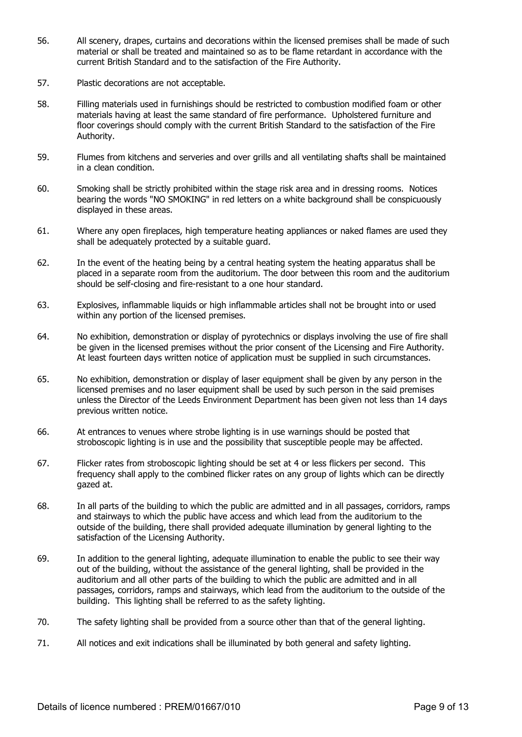- 56. All scenery, drapes, curtains and decorations within the licensed premises shall be made of such material or shall be treated and maintained so as to be flame retardant in accordance with the current British Standard and to the satisfaction of the Fire Authority.
- 57. Plastic decorations are not acceptable.
- 58. Filling materials used in furnishings should be restricted to combustion modified foam or other materials having at least the same standard of fire performance. Upholstered furniture and floor coverings should comply with the current British Standard to the satisfaction of the Fire Authority.
- 59. Flumes from kitchens and serveries and over grills and all ventilating shafts shall be maintained in a clean condition.
- 60. Smoking shall be strictly prohibited within the stage risk area and in dressing rooms. Notices bearing the words "NO SMOKING" in red letters on a white background shall be conspicuously displayed in these areas.
- 61. Where any open fireplaces, high temperature heating appliances or naked flames are used they shall be adequately protected by a suitable guard.
- 62. In the event of the heating being by a central heating system the heating apparatus shall be placed in a separate room from the auditorium. The door between this room and the auditorium should be self-closing and fire-resistant to a one hour standard.
- 63. Explosives, inflammable liquids or high inflammable articles shall not be brought into or used within any portion of the licensed premises.
- 64. No exhibition, demonstration or display of pyrotechnics or displays involving the use of fire shall be given in the licensed premises without the prior consent of the Licensing and Fire Authority. At least fourteen days written notice of application must be supplied in such circumstances.
- 65. No exhibition, demonstration or display of laser equipment shall be given by any person in the licensed premises and no laser equipment shall be used by such person in the said premises unless the Director of the Leeds Environment Department has been given not less than 14 days previous written notice.
- 66. At entrances to venues where strobe lighting is in use warnings should be posted that stroboscopic lighting is in use and the possibility that susceptible people may be affected.
- 67. Flicker rates from stroboscopic lighting should be set at 4 or less flickers per second. This frequency shall apply to the combined flicker rates on any group of lights which can be directly gazed at.
- 68. In all parts of the building to which the public are admitted and in all passages, corridors, ramps and stairways to which the public have access and which lead from the auditorium to the outside of the building, there shall provided adequate illumination by general lighting to the satisfaction of the Licensing Authority.
- 69. In addition to the general lighting, adequate illumination to enable the public to see their way out of the building, without the assistance of the general lighting, shall be provided in the auditorium and all other parts of the building to which the public are admitted and in all passages, corridors, ramps and stairways, which lead from the auditorium to the outside of the building. This lighting shall be referred to as the safety lighting.
- 70. The safety lighting shall be provided from a source other than that of the general lighting.
- 71. All notices and exit indications shall be illuminated by both general and safety lighting.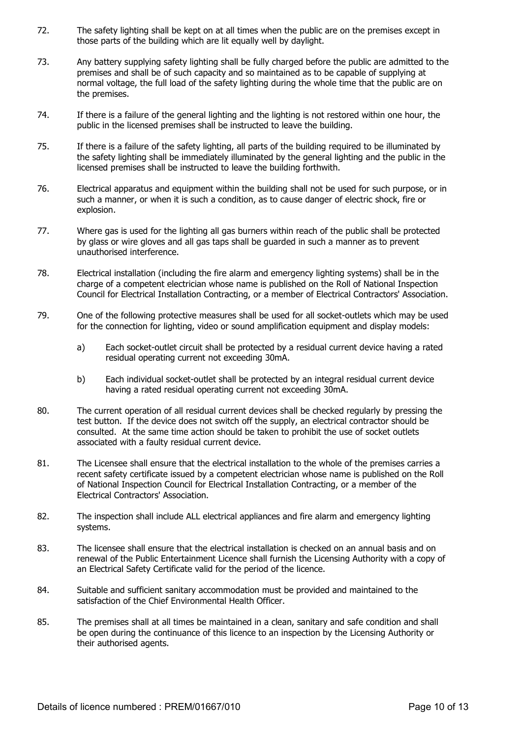- 72. The safety lighting shall be kept on at all times when the public are on the premises except in those parts of the building which are lit equally well by daylight.
- 73. Any battery supplying safety lighting shall be fully charged before the public are admitted to the premises and shall be of such capacity and so maintained as to be capable of supplying at normal voltage, the full load of the safety lighting during the whole time that the public are on the premises.
- 74. If there is a failure of the general lighting and the lighting is not restored within one hour, the public in the licensed premises shall be instructed to leave the building.
- 75. If there is a failure of the safety lighting, all parts of the building required to be illuminated by the safety lighting shall be immediately illuminated by the general lighting and the public in the licensed premises shall be instructed to leave the building forthwith.
- 76. Electrical apparatus and equipment within the building shall not be used for such purpose, or in such a manner, or when it is such a condition, as to cause danger of electric shock, fire or explosion.
- 77. Where gas is used for the lighting all gas burners within reach of the public shall be protected by glass or wire gloves and all gas taps shall be guarded in such a manner as to prevent unauthorised interference.
- 78. Electrical installation (including the fire alarm and emergency lighting systems) shall be in the charge of a competent electrician whose name is published on the Roll of National Inspection Council for Electrical Installation Contracting, or a member of Electrical Contractors' Association.
- 79. One of the following protective measures shall be used for all socket-outlets which may be used for the connection for lighting, video or sound amplification equipment and display models:
	- a) Each socket-outlet circuit shall be protected by a residual current device having a rated residual operating current not exceeding 30mA.
	- b) Each individual socket-outlet shall be protected by an integral residual current device having a rated residual operating current not exceeding 30mA.
- 80. The current operation of all residual current devices shall be checked regularly by pressing the test button. If the device does not switch off the supply, an electrical contractor should be consulted. At the same time action should be taken to prohibit the use of socket outlets associated with a faulty residual current device.
- 81. The Licensee shall ensure that the electrical installation to the whole of the premises carries a recent safety certificate issued by a competent electrician whose name is published on the Roll of National Inspection Council for Electrical Installation Contracting, or a member of the Electrical Contractors' Association.
- 82. The inspection shall include ALL electrical appliances and fire alarm and emergency lighting systems.
- 83. The licensee shall ensure that the electrical installation is checked on an annual basis and on renewal of the Public Entertainment Licence shall furnish the Licensing Authority with a copy of an Electrical Safety Certificate valid for the period of the licence.
- 84. Suitable and sufficient sanitary accommodation must be provided and maintained to the satisfaction of the Chief Environmental Health Officer.
- 85. The premises shall at all times be maintained in a clean, sanitary and safe condition and shall be open during the continuance of this licence to an inspection by the Licensing Authority or their authorised agents.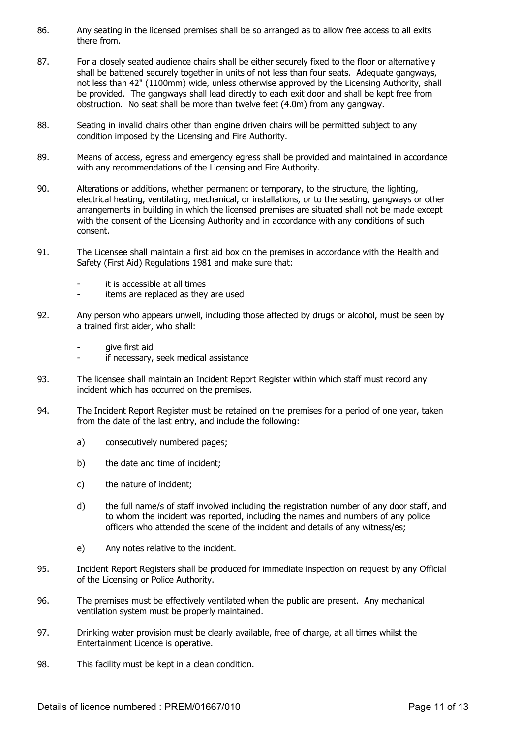- 86. Any seating in the licensed premises shall be so arranged as to allow free access to all exits there from.
- 87. For a closely seated audience chairs shall be either securely fixed to the floor or alternatively shall be battened securely together in units of not less than four seats. Adequate gangways, not less than 42" (1100mm) wide, unless otherwise approved by the Licensing Authority, shall be provided. The gangways shall lead directly to each exit door and shall be kept free from obstruction. No seat shall be more than twelve feet (4.0m) from any gangway.
- 88. Seating in invalid chairs other than engine driven chairs will be permitted subject to any condition imposed by the Licensing and Fire Authority.
- 89. Means of access, egress and emergency egress shall be provided and maintained in accordance with any recommendations of the Licensing and Fire Authority.
- 90. Alterations or additions, whether permanent or temporary, to the structure, the lighting, electrical heating, ventilating, mechanical, or installations, or to the seating, gangways or other arrangements in building in which the licensed premises are situated shall not be made except with the consent of the Licensing Authority and in accordance with any conditions of such consent.
- 91. The Licensee shall maintain a first aid box on the premises in accordance with the Health and Safety (First Aid) Regulations 1981 and make sure that:
	- it is accessible at all times
	- items are replaced as they are used
- 92. Any person who appears unwell, including those affected by drugs or alcohol, must be seen by a trained first aider, who shall:
	- give first aid
	- if necessary, seek medical assistance
- 93. The licensee shall maintain an Incident Report Register within which staff must record any incident which has occurred on the premises.
- 94. The Incident Report Register must be retained on the premises for a period of one year, taken from the date of the last entry, and include the following:
	- a) consecutively numbered pages;
	- b) the date and time of incident;
	- c) the nature of incident;
	- d) the full name/s of staff involved including the registration number of any door staff, and to whom the incident was reported, including the names and numbers of any police officers who attended the scene of the incident and details of any witness/es;
	- e) Any notes relative to the incident.
- 95. Incident Report Registers shall be produced for immediate inspection on request by any Official of the Licensing or Police Authority.
- 96. The premises must be effectively ventilated when the public are present. Any mechanical ventilation system must be properly maintained.
- 97. Drinking water provision must be clearly available, free of charge, at all times whilst the Entertainment Licence is operative.
- 98. This facility must be kept in a clean condition.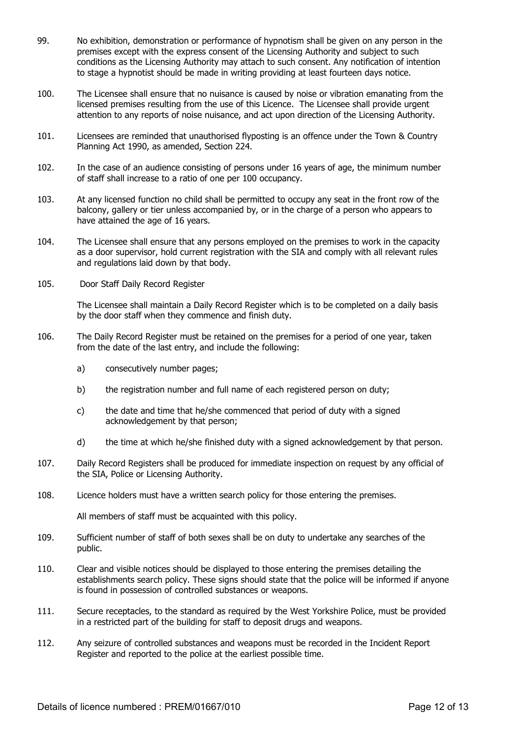- 99. No exhibition, demonstration or performance of hypnotism shall be given on any person in the premises except with the express consent of the Licensing Authority and subject to such conditions as the Licensing Authority may attach to such consent. Any notification of intention to stage a hypnotist should be made in writing providing at least fourteen days notice.
- 100. The Licensee shall ensure that no nuisance is caused by noise or vibration emanating from the licensed premises resulting from the use of this Licence. The Licensee shall provide urgent attention to any reports of noise nuisance, and act upon direction of the Licensing Authority.
- 101. Licensees are reminded that unauthorised flyposting is an offence under the Town & Country Planning Act 1990, as amended, Section 224.
- 102. In the case of an audience consisting of persons under 16 years of age, the minimum number of staff shall increase to a ratio of one per 100 occupancy.
- 103. At any licensed function no child shall be permitted to occupy any seat in the front row of the balcony, gallery or tier unless accompanied by, or in the charge of a person who appears to have attained the age of 16 years.
- 104. The Licensee shall ensure that any persons employed on the premises to work in the capacity as a door supervisor, hold current registration with the SIA and comply with all relevant rules and regulations laid down by that body.
- 105. Door Staff Daily Record Register

 The Licensee shall maintain a Daily Record Register which is to be completed on a daily basis by the door staff when they commence and finish duty.

- 106. The Daily Record Register must be retained on the premises for a period of one year, taken from the date of the last entry, and include the following:
	- a) consecutively number pages;
	- b) the registration number and full name of each registered person on duty;
	- c) the date and time that he/she commenced that period of duty with a signed acknowledgement by that person;
	- d) the time at which he/she finished duty with a signed acknowledgement by that person.
- 107. Daily Record Registers shall be produced for immediate inspection on request by any official of the SIA, Police or Licensing Authority.
- 108. Licence holders must have a written search policy for those entering the premises.

All members of staff must be acquainted with this policy.

- 109. Sufficient number of staff of both sexes shall be on duty to undertake any searches of the public.
- 110. Clear and visible notices should be displayed to those entering the premises detailing the establishments search policy. These signs should state that the police will be informed if anyone is found in possession of controlled substances or weapons.
- 111. Secure receptacles, to the standard as required by the West Yorkshire Police, must be provided in a restricted part of the building for staff to deposit drugs and weapons.
- 112. Any seizure of controlled substances and weapons must be recorded in the Incident Report Register and reported to the police at the earliest possible time.